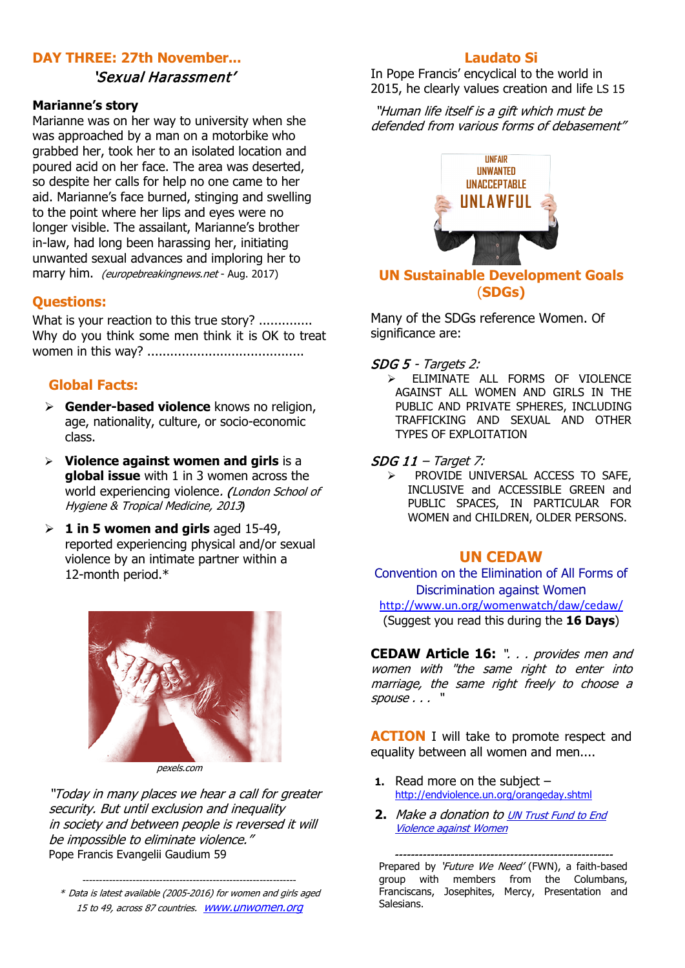# **DAY THREE: 27th November...**

#### 'Sexual Harassment'

#### **Marianne's story**

Marianne was on her way to university when she was approached by a man on a motorbike who grabbed her, took her to an isolated location and poured acid on her face. The area was deserted, so despite her calls for help no one came to her aid. Marianne's face burned, stinging and swelling to the point where her lips and eyes were no longer visible. The assailant, Marianne's brother in-law, had long been harassing her, initiating unwanted sexual advances and imploring her to marry him. *(europebreakingnews.net* - Aug. 2017)

### **Questions:**

What is your reaction to this true story? ............. Why do you think some men think it is OK to treat women in this way? .........................................

## **Global Facts:**

- **Gender-based violence** knows no religion, age, nationality, culture, or socio-economic class.
- **Violence against women and girls** is a **global issue** with 1 in 3 women across the world experiencing violence. (London School of [Hygiene & Tropical Medicine, 2013](http://www.lshtm.ac.uk/newsevents/news/2013/gender_violence_report.html)*)*
- **1 in 5 women and girls** aged 15-49, reported experiencing physical and/or sexual violence by an intimate partner within a 12-month period.\*



pexels.com

"Today in many places we hear a call for greater security. But until exclusion and inequality in society and between people is reversed it will be impossible to eliminate violence." Pope Francis Evangelii Gaudium 59

---------------------------------------------------------------- \* Data is latest available (2005-2016) for women and girls aged 15 to 49, across 87 countries.[www.unwomen.org](http://www.unwomen.org/)

#### **Laudato Si**

In Pope Francis' encyclical to the world in 2015, he clearly values creation and life LS 15

"Human life itself is a gift which must be defended from various forms of debasement"



#### **UN Sustainable Development Goals** (**SDGs)**

Many of the SDGs reference Women. Of significance are:

#### SDG 5 - Targets 2:

> ELIMINATE ALL FORMS OF VIOLENCE AGAINST ALL WOMEN AND GIRLS IN THE PUBLIC AND PRIVATE SPHERES, INCLUDING TRAFFICKING AND SEXUAL AND OTHER TYPES OF EXPLOITATION

#### $SDG$  11 – Target 7:

> PROVIDE UNIVERSAL ACCESS TO SAFE, INCLUSIVE and ACCESSIBLE GREEN and PUBLIC SPACES, IN PARTICULAR FOR WOMEN and CHILDREN, OLDER PERSONS.

#### **UN CEDAW**

[Convention on the Elimination of All Forms of](http://www.ohchr.org/EN/ProfessionalInterest/Pages/CEDAW.aspx)  [Discrimination against Women](http://www.ohchr.org/EN/ProfessionalInterest/Pages/CEDAW.aspx) <http://www.un.org/womenwatch/daw/cedaw/> (Suggest you read this during the **16 Days**)

**CEDAW Article 16:** ". . . provides men and women with "the same right to enter into marriage, the same right freely to choose a spouse . . . "

**ACTION** I will take to promote respect and equality between all women and men....

- **1.** Read more on the subject <http://endviolence.un.org/orangeday.shtml>
- **2.** [Make a donation to UN Trust Fund to End](https://secure.globalproblems-globalsolutions.org/site/Donation2?df_id=1920&1920.donation=form1&JServSessionIdr004=0yf3qtl5g4.app220b)  [Violence against Women](https://secure.globalproblems-globalsolutions.org/site/Donation2?df_id=1920&1920.donation=form1&JServSessionIdr004=0yf3qtl5g4.app220b)

Prepared by 'Future We Need' (FWN), a faith-based group with members from the Columbans, Franciscans, Josephites, Mercy, Presentation and Salesians.

-------------------------------------------------------